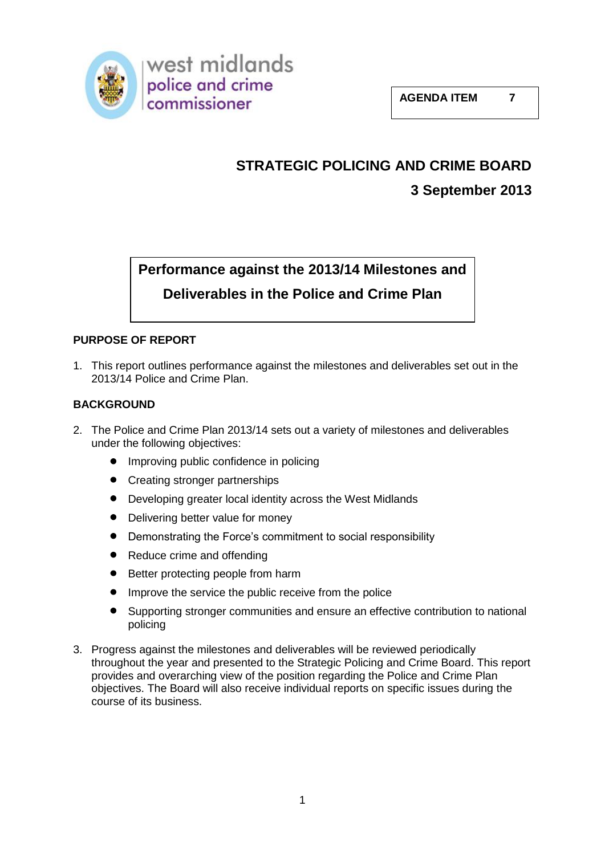

# **STRATEGIC POLICING AND CRIME BOARD**

# **3 September 2013**

# **Performance against the 2013/14 Milestones and Deliverables in the Police and Crime Plan**

## **PURPOSE OF REPORT**

1. This report outlines performance against the milestones and deliverables set out in the 2013/14 Police and Crime Plan.

## **BACKGROUND**

- 2. The Police and Crime Plan 2013/14 sets out a variety of milestones and deliverables under the following objectives:
	- $\bullet$ Improving public confidence in policing
	- Creating stronger partnerships
	- $\bullet$ Developing greater local identity across the West Midlands
	- $\bullet$ Delivering better value for money
	- Demonstrating the Force's commitment to social responsibility
	- $\bullet$ Reduce crime and offending
	- $\bullet$ Better protecting people from harm
	- $\bullet$ Improve the service the public receive from the police
	- $\bullet$ Supporting stronger communities and ensure an effective contribution to national policing
- 3. Progress against the milestones and deliverables will be reviewed periodically throughout the year and presented to the Strategic Policing and Crime Board. This report provides and overarching view of the position regarding the Police and Crime Plan objectives. The Board will also receive individual reports on specific issues during the course of its business.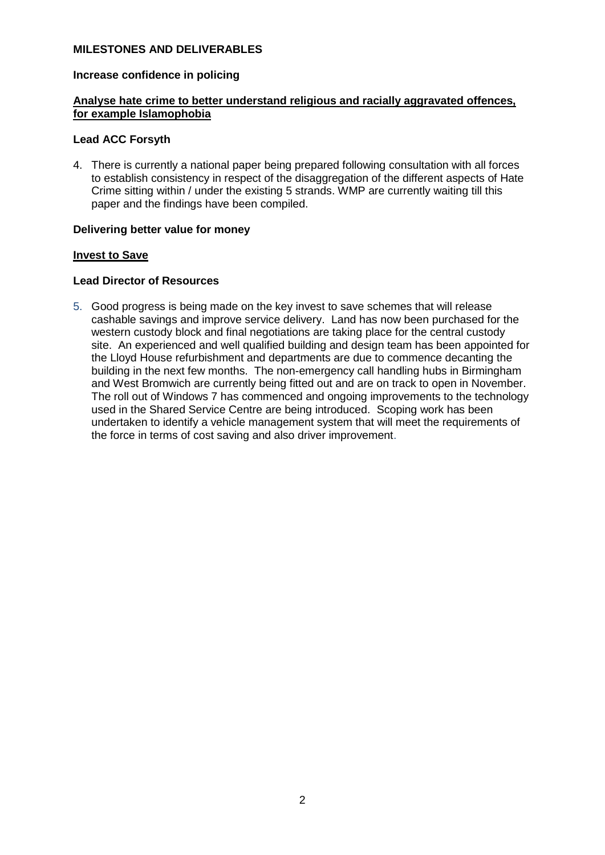#### **MILESTONES AND DELIVERABLES**

#### **Increase confidence in policing**

#### **Analyse hate crime to better understand religious and racially aggravated offences, for example Islamophobia**

#### **Lead ACC Forsyth**

4. There is currently a national paper being prepared following consultation with all forces to establish consistency in respect of the disaggregation of the different aspects of Hate Crime sitting within / under the existing 5 strands. WMP are currently waiting till this paper and the findings have been compiled.

#### **Delivering better value for money**

#### **Invest to Save**

#### **Lead Director of Resources**

5. Good progress is being made on the key invest to save schemes that will release cashable savings and improve service delivery. Land has now been purchased for the western custody block and final negotiations are taking place for the central custody site. An experienced and well qualified building and design team has been appointed for the Lloyd House refurbishment and departments are due to commence decanting the building in the next few months. The non-emergency call handling hubs in Birmingham and West Bromwich are currently being fitted out and are on track to open in November. The roll out of Windows 7 has commenced and ongoing improvements to the technology used in the Shared Service Centre are being introduced. Scoping work has been undertaken to identify a vehicle management system that will meet the requirements of the force in terms of cost saving and also driver improvement.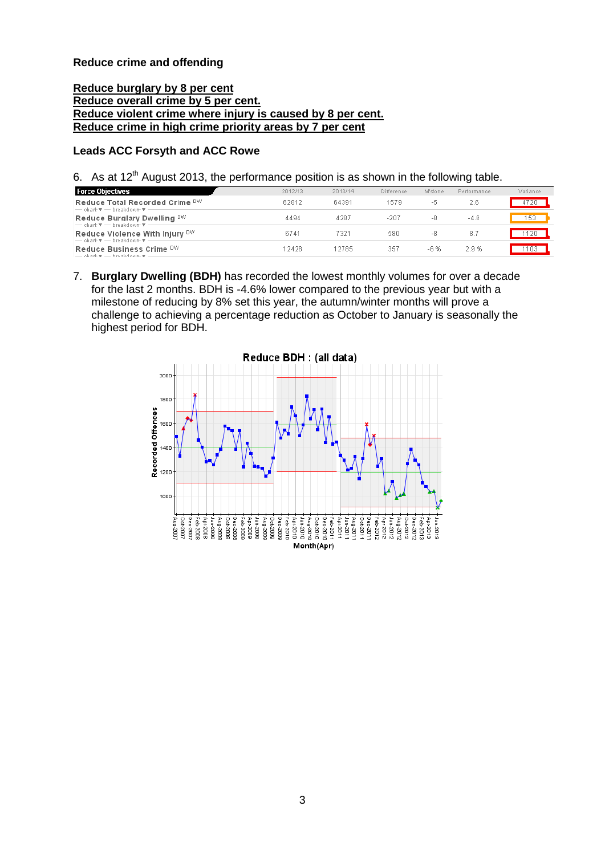#### **Reduce crime and offending**

#### **Reduce burglary by 8 per cent Reduce overall crime by 5 per cent. Reduce violent crime where injury is caused by 8 per cent. Reduce crime in high crime priority areas by 7 per cent**

#### **Leads ACC Forsyth and ACC Rowe**

6. As at  $12^{th}$  August 2013, the performance position is as shown in the following table.

| 2012/13 | 2013/14 | Difference | M'stone | Performance | Variance |
|---------|---------|------------|---------|-------------|----------|
| 62812   | 64391   | 1579       | -5      | 2.6         |          |
| 4494    | 4287    | $-207$     | -8      | $-4.6$      | 53       |
| 6741    | 7321    | 580        | -8      | 8.7         |          |
| 12428   | 12785   | 357        | -6 %    | 2.9%        |          |
|         |         |            |         |             |          |

7. **Burglary Dwelling (BDH)** has recorded the lowest monthly volumes for over a decade for the last 2 months. BDH is -4.6% lower compared to the previous year but with a milestone of reducing by 8% set this year, the autumn/winter months will prove a challenge to achieving a percentage reduction as October to January is seasonally the highest period for BDH.

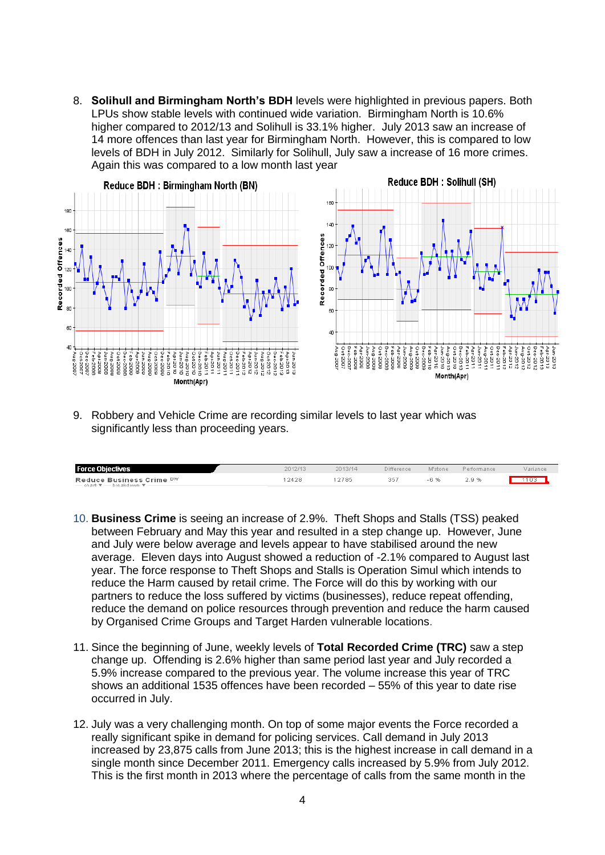8. **Solihull and Birmingham North's BDH** levels were highlighted in previous papers. Both LPUs show stable levels with continued wide variation. Birmingham North is 10.6% higher compared to 2012/13 and Solihull is 33.1% higher. July 2013 saw an increase of 14 more offences than last year for Birmingham North. However, this is compared to low levels of BDH in July 2012. Similarly for Solihull, July saw a increase of 16 more crimes. Again this was compared to a low month last year



9. Robbery and Vehicle Crime are recording similar levels to last year which was significantly less than proceeding years.

| <b>Force Objectives</b>                                                             | 2012/13 | 2013/14 | Difference | M'stone | Performance | Variance |
|-------------------------------------------------------------------------------------|---------|---------|------------|---------|-------------|----------|
| Reduce Business Crime DW<br>$-$ chart $\overline{x}$ $-$ breakdown $\overline{x}$ - | 2428    | 2785    | 267        | -6 %    | 2.9%        |          |

- 10. **Business Crime** is seeing an increase of 2.9%. Theft Shops and Stalls (TSS) peaked between February and May this year and resulted in a step change up. However, June and July were below average and levels appear to have stabilised around the new average. Eleven days into August showed a reduction of -2.1% compared to August last year. The force response to Theft Shops and Stalls is Operation Simul which intends to reduce the Harm caused by retail crime. The Force will do this by working with our partners to reduce the loss suffered by victims (businesses), reduce repeat offending, reduce the demand on police resources through prevention and reduce the harm caused by Organised Crime Groups and Target Harden vulnerable locations.
- 11. Since the beginning of June, weekly levels of **Total Recorded Crime (TRC)** saw a step change up. Offending is 2.6% higher than same period last year and July recorded a 5.9% increase compared to the previous year. The volume increase this year of TRC shows an additional 1535 offences have been recorded – 55% of this year to date rise occurred in July.
- 12. July was a very challenging month. On top of some major events the Force recorded a really significant spike in demand for policing services. Call demand in July 2013 increased by 23,875 calls from June 2013; this is the highest increase in call demand in a single month since December 2011. Emergency calls increased by 5.9% from July 2012. This is the first month in 2013 where the percentage of calls from the same month in the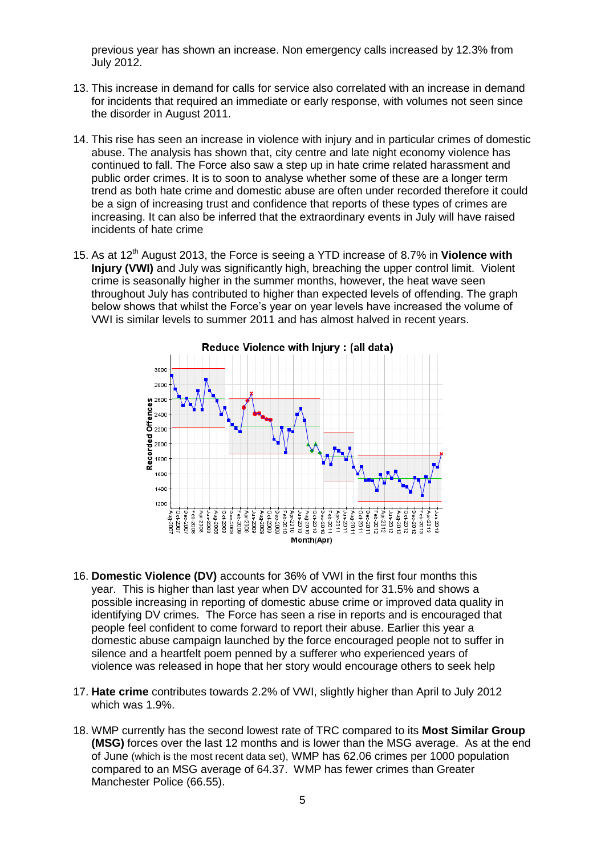previous year has shown an increase. Non emergency calls increased by 12.3% from July 2012.

- 13. This increase in demand for calls for service also correlated with an increase in demand for incidents that required an immediate or early response, with volumes not seen since the disorder in August 2011.
- 14. This rise has seen an increase in violence with injury and in particular crimes of domestic abuse. The analysis has shown that, city centre and late night economy violence has continued to fall. The Force also saw a step up in hate crime related harassment and public order crimes. It is to soon to analyse whether some of these are a longer term trend as both hate crime and domestic abuse are often under recorded therefore it could be a sign of increasing trust and confidence that reports of these types of crimes are increasing. It can also be inferred that the extraordinary events in July will have raised incidents of hate crime
- 15. As at 12<sup>th</sup> August 2013, the Force is seeing a YTD increase of 8.7% in Violence with **Injury (VWI)** and July was significantly high, breaching the upper control limit. Violent crime is seasonally higher in the summer months, however, the heat wave seen throughout July has contributed to higher than expected levels of offending. The graph below shows that whilst the Force's year on year levels have increased the volume of VWI is similar levels to summer 2011 and has almost halved in recent years.



- 16. **Domestic Violence (DV)** accounts for 36% of VWI in the first four months this year. This is higher than last year when DV accounted for 31.5% and shows a possible increasing in reporting of domestic abuse crime or improved data quality in identifying DV crimes. The Force has seen a rise in reports and is encouraged that people feel confident to come forward to report their abuse. Earlier this year a domestic abuse campaign launched by the force encouraged people not to suffer in silence and a heartfelt poem penned by a sufferer who experienced years of violence was released in hope that her story would encourage others to seek help
- 17. **Hate crime** contributes towards 2.2% of VWI, slightly higher than April to July 2012 which was 1.9%.
- 18. WMP currently has the second lowest rate of TRC compared to its **Most Similar Group (MSG)** forces over the last 12 months and is lower than the MSG average. As at the end of June (which is the most recent data set), WMP has 62.06 crimes per 1000 population compared to an MSG average of 64.37. WMP has fewer crimes than Greater Manchester Police (66.55).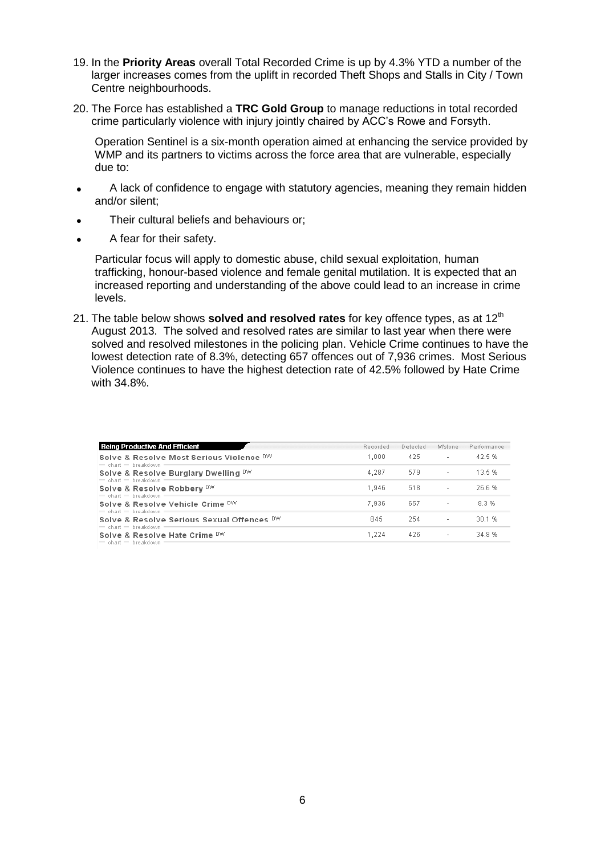- 19. In the **Priority Areas** overall Total Recorded Crime is up by 4.3% YTD a number of the larger increases comes from the uplift in recorded Theft Shops and Stalls in City / Town Centre neighbourhoods.
- 20. The Force has established a **TRC Gold Group** to manage reductions in total recorded crime particularly violence with injury jointly chaired by ACC's Rowe and Forsyth.

Operation Sentinel is a six-month operation aimed at enhancing the service provided by WMP and its partners to victims across the force area that are vulnerable, especially due to:

- A lack of confidence to engage with statutory agencies, meaning they remain hidden  $\bullet$ and/or silent;
- Their cultural beliefs and behaviours or;  $\bullet$
- A fear for their safety.

Particular focus will apply to domestic abuse, child sexual exploitation, human trafficking, honour-based violence and female genital mutilation. It is expected that an increased reporting and understanding of the above could lead to an increase in crime levels.

21. The table below shows **solved and resolved rates** for key offence types, as at 12<sup>th</sup> August 2013. The solved and resolved rates are similar to last year when there were solved and resolved milestones in the policing plan. Vehicle Crime continues to have the lowest detection rate of 8.3%, detecting 657 offences out of 7,936 crimes. Most Serious Violence continues to have the highest detection rate of 42.5% followed by Hate Crime with 34.8%.

| <b>Being Productive And Efficient</b>                                                  | Recorded | Detected | M'stone                  | Performance |
|----------------------------------------------------------------------------------------|----------|----------|--------------------------|-------------|
| Solve & Resolve Most Serious Violence DW<br>$=$ chart $=$ breakdown                    | 1.000    | 425      | $\sim$                   | 42.5%       |
| Solve & Resolve Burglary Dwelling DW<br>$=$ chart $=$ breakdown                        | 4.287    | 579      | $\sim$                   | 13.5%       |
| Solve & Resolve Robbery DW                                                             | 1,946    | 518      | $\overline{\phantom{a}}$ | 26.6%       |
| $=$ chart $=$ breakdown<br>Solve & Resolve Vehicle Crime DW<br>$=$ chart $=$ breakdown | 7.936    | 657      | $\overline{\phantom{a}}$ | 8.3 %       |
| Solve & Resolve Serious Sexual Offences DW<br>$=$ chart $=$ breakdown                  | 845      | 254      | ÷.                       | 30.1%       |
| Solve & Resolve Hate Crime DW<br>$=$ chart $=$ breakdown                               | 1.224    | 426      | $\overline{\phantom{a}}$ | 348%        |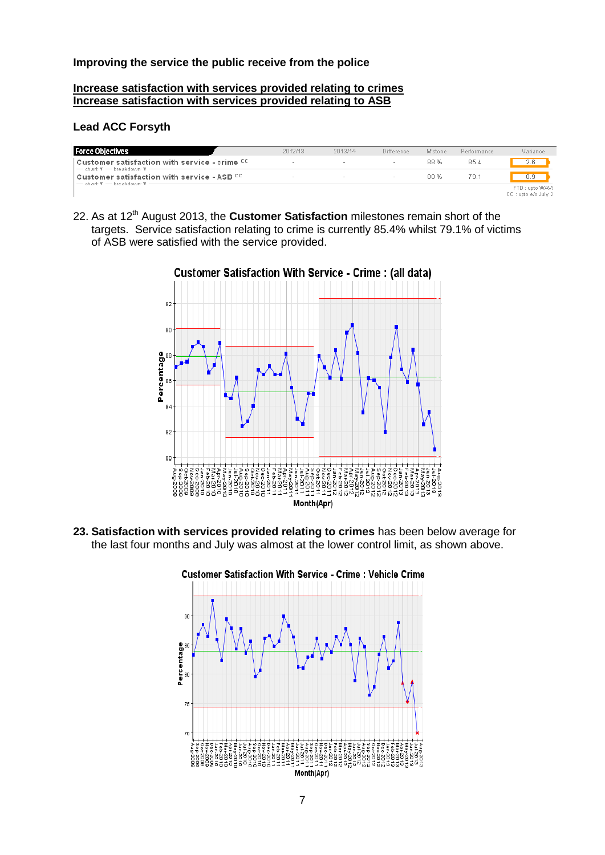#### **Improving the service the public receive from the police**

#### **Increase satisfaction with services provided relating to crimes Increase satisfaction with services provided relating to ASB**

#### **Lead ACC Forsyth**

| <b>Force Objectives</b>                                                                                                      | 2012/13 | 2013/14 | Difference | M'stone | Performance | Variance                                |
|------------------------------------------------------------------------------------------------------------------------------|---------|---------|------------|---------|-------------|-----------------------------------------|
| Customer satisfaction with service - crime CC<br>$-$ chart $\overline{\mathbf{v}}$ $-$ breakdown $\overline{\mathbf{v}}$ $-$ |         |         |            | 88 %    | 85.4        | 2.6                                     |
| Customer satisfaction with service - ASB CC<br>$-$ chart $\overline{\mathbf{v}}$ $-$ breakdown $\overline{\mathbf{v}}$ $-$   | $\sim$  |         | $\sim$     | 80 %    | 79.1        | 0.9                                     |
|                                                                                                                              |         |         |            |         |             | FTD : upto WAVE<br>CC : upto e/o July 2 |

22. As at 12<sup>th</sup> August 2013, the **Customer Satisfaction** milestones remain short of the targets. Service satisfaction relating to crime is currently 85.4% whilst 79.1% of victims of ASB were satisfied with the service provided.



**Customer Satisfaction With Service - Crime: (all data)** 

**23. Satisfaction with services provided relating to crimes** has been below average for the last four months and July was almost at the lower control limit, as shown above.



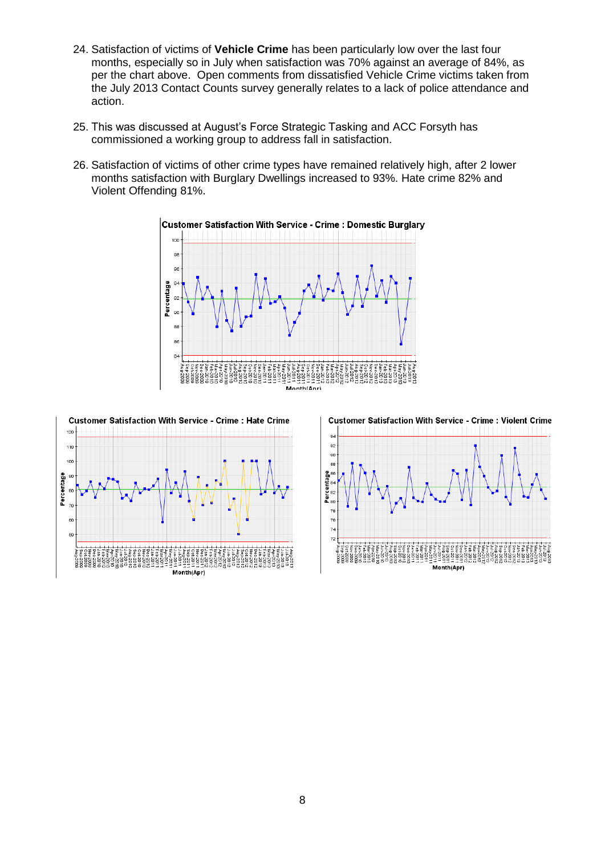- 24. Satisfaction of victims of **Vehicle Crime** has been particularly low over the last four months, especially so in July when satisfaction was 70% against an average of 84%, as per the chart above. Open comments from dissatisfied Vehicle Crime victims taken from the July 2013 Contact Counts survey generally relates to a lack of police attendance and action.
- 25. This was discussed at August's Force Strategic Tasking and ACC Forsyth has commissioned a working group to address fall in satisfaction.
- 26. Satisfaction of victims of other crime types have remained relatively high, after 2 lower months satisfaction with Burglary Dwellings increased to 93%. Hate crime 82% and Violent Offending 81%.



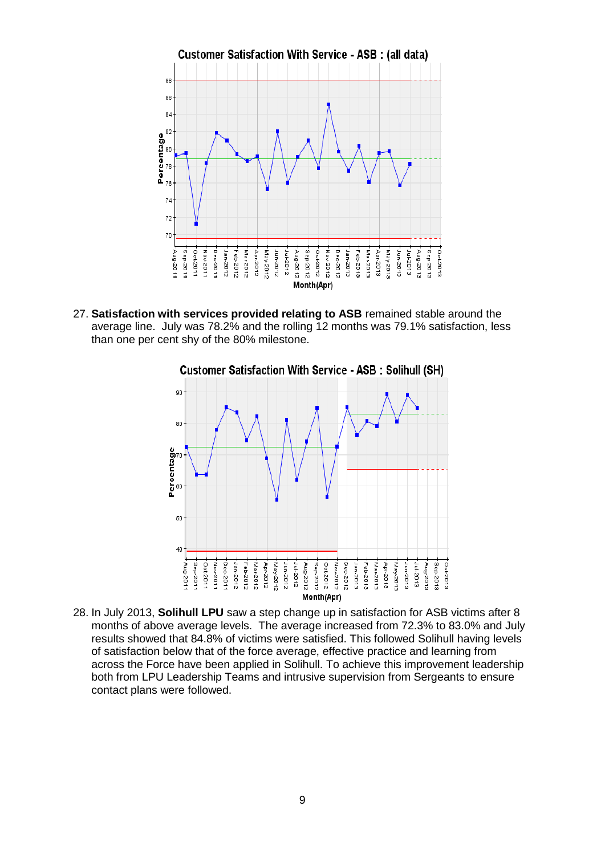

27. **Satisfaction with services provided relating to ASB** remained stable around the average line. July was 78.2% and the rolling 12 months was 79.1% satisfaction, less than one per cent shy of the 80% milestone.



28. In July 2013, **Solihull LPU** saw a step change up in satisfaction for ASB victims after 8 months of above average levels. The average increased from 72.3% to 83.0% and July results showed that 84.8% of victims were satisfied. This followed Solihull having levels of satisfaction below that of the force average, effective practice and learning from across the Force have been applied in Solihull. To achieve this improvement leadership both from LPU Leadership Teams and intrusive supervision from Sergeants to ensure contact plans were followed.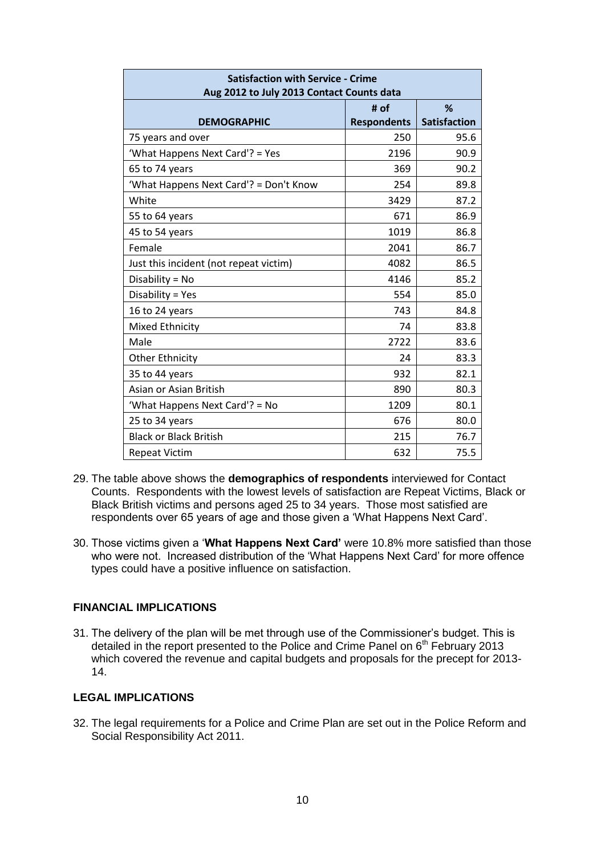| <b>Satisfaction with Service - Crime</b><br>Aug 2012 to July 2013 Contact Counts data |                            |                          |  |  |  |
|---------------------------------------------------------------------------------------|----------------------------|--------------------------|--|--|--|
| <b>DEMOGRAPHIC</b>                                                                    | # of<br><b>Respondents</b> | %<br><b>Satisfaction</b> |  |  |  |
| 75 years and over                                                                     | 250                        | 95.6                     |  |  |  |
| 'What Happens Next Card'? = Yes                                                       | 2196                       | 90.9                     |  |  |  |
| 65 to 74 years                                                                        | 369                        | 90.2                     |  |  |  |
| 'What Happens Next Card'? = Don't Know                                                | 254                        | 89.8                     |  |  |  |
| White                                                                                 | 3429                       | 87.2                     |  |  |  |
| 55 to 64 years                                                                        | 671                        | 86.9                     |  |  |  |
| 45 to 54 years                                                                        | 1019                       | 86.8                     |  |  |  |
| Female                                                                                | 2041                       | 86.7                     |  |  |  |
| Just this incident (not repeat victim)                                                | 4082                       | 86.5                     |  |  |  |
| Disability = No                                                                       | 4146                       | 85.2                     |  |  |  |
| Disability = Yes                                                                      | 554                        | 85.0                     |  |  |  |
| 16 to 24 years                                                                        | 743                        | 84.8                     |  |  |  |
| Mixed Ethnicity                                                                       | 74                         | 83.8                     |  |  |  |
| Male                                                                                  | 2722                       | 83.6                     |  |  |  |
| <b>Other Ethnicity</b>                                                                | 24                         | 83.3                     |  |  |  |
| 35 to 44 years                                                                        | 932                        | 82.1                     |  |  |  |
| Asian or Asian British                                                                | 890                        | 80.3                     |  |  |  |
| 'What Happens Next Card'? = No                                                        | 1209                       | 80.1                     |  |  |  |
| 25 to 34 years                                                                        | 676                        | 80.0                     |  |  |  |
| <b>Black or Black British</b>                                                         | 215                        | 76.7                     |  |  |  |
| <b>Repeat Victim</b>                                                                  | 632                        | 75.5                     |  |  |  |

- 29. The table above shows the **demographics of respondents** interviewed for Contact Counts. Respondents with the lowest levels of satisfaction are Repeat Victims, Black or Black British victims and persons aged 25 to 34 years. Those most satisfied are respondents over 65 years of age and those given a 'What Happens Next Card'.
- 30. Those victims given a '**What Happens Next Card'** were 10.8% more satisfied than those who were not. Increased distribution of the 'What Happens Next Card' for more offence types could have a positive influence on satisfaction.

#### **FINANCIAL IMPLICATIONS**

31. The delivery of the plan will be met through use of the Commissioner's budget. This is detailed in the report presented to the Police and Crime Panel on 6<sup>th</sup> February 2013 which covered the revenue and capital budgets and proposals for the precept for 2013- 14.

#### **LEGAL IMPLICATIONS**

32. The legal requirements for a Police and Crime Plan are set out in the Police Reform and Social Responsibility Act 2011.